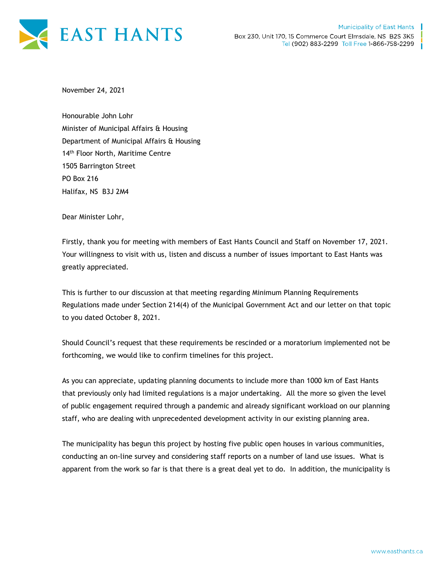

November 24, 2021

Honourable John Lohr Minister of Municipal Affairs & Housing Department of Municipal Affairs & Housing 14<sup>th</sup> Floor North, Maritime Centre 1505 Barrington Street PO Box 216 Halifax, NS B3J 2M4

Dear Minister Lohr,

Firstly, thank you for meeting with members of East Hants Council and Staff on November 17, 2021. Your willingness to visit with us, listen and discuss a number of issues important to East Hants was greatly appreciated.

This is further to our discussion at that meeting regarding Minimum Planning Requirements Regulations made under Section 214(4) of the Municipal Government Act and our letter on that topic to you dated October 8, 2021.

Should Council's request that these requirements be rescinded or a moratorium implemented not be forthcoming, we would like to confirm timelines for this project.

As you can appreciate, updating planning documents to include more than 1000 km of East Hants that previously only had limited regulations is a major undertaking. All the more so given the level of public engagement required through a pandemic and already significant workload on our planning staff, who are dealing with unprecedented development activity in our existing planning area.

The municipality has begun this project by hosting five public open houses in various communities, conducting an on-line survey and considering staff reports on a number of land use issues. What is apparent from the work so far is that there is a great deal yet to do. In addition, the municipality is